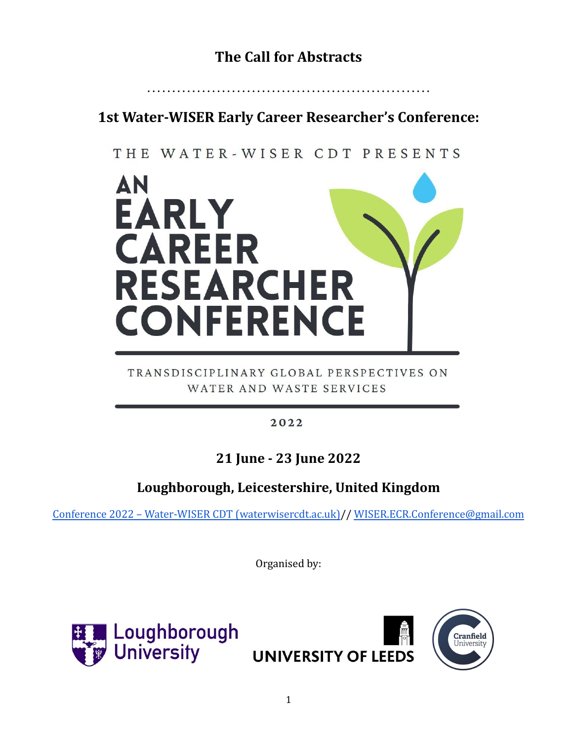# **The Call for Abstracts**

# **1st Water-WISER Early Career Researcher's Conference:**

…………………………………………………

## THE WATER-WISER CDT PRESENTS



### TRANSDISCIPLINARY GLOBAL PERSPECTIVES ON WATER AND WASTE SERVICES

### $2022$

## **21 June - 23 June 2022**

## **Loughborough, Leicestershire, United Kingdom**

[Conference 2022 – Water-WISER CDT \(waterwisercdt.ac.uk\)/](https://www.waterwisercdt.ac.uk/ecr-2022/)/ [WISER.ECR.Conference@gmail.com](mailto:WISER.ECR.Conference@gmail.com)

Organised by:



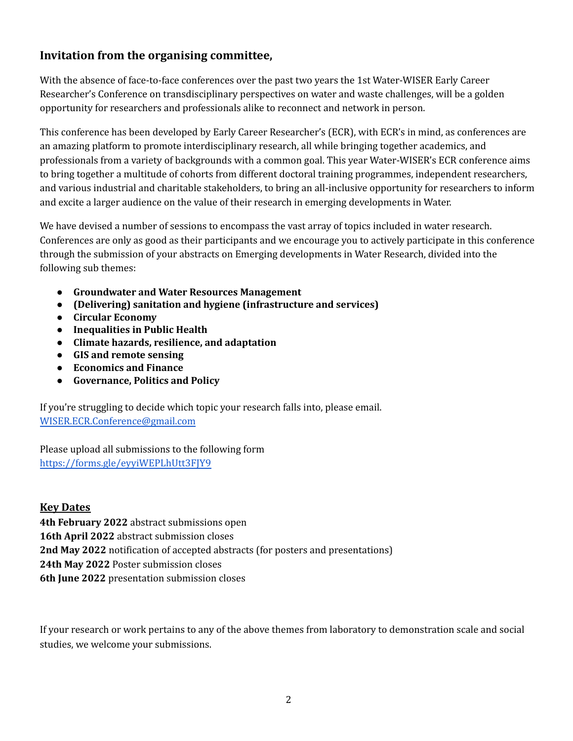### **Invitation from the organising committee,**

With the absence of face-to-face conferences over the past two years the 1st Water-WISER Early Career Researcher's Conference on transdisciplinary perspectives on water and waste challenges, will be a golden opportunity for researchers and professionals alike to reconnect and network in person.

This conference has been developed by Early Career Researcher's (ECR), with ECR's in mind, as conferences are an amazing platform to promote interdisciplinary research, all while bringing together academics, and professionals from a variety of backgrounds with a common goal. This year Water-WISER's ECR conference aims to bring together a multitude of cohorts from different doctoral training programmes, independent researchers, and various industrial and charitable stakeholders, to bring an all-inclusive opportunity for researchers to inform and excite a larger audience on the value of their research in emerging developments in Water.

We have devised a number of sessions to encompass the vast array of topics included in water research. Conferences are only as good as their participants and we encourage you to actively participate in this conference through the submission of your abstracts on Emerging developments in Water Research, divided into the following sub themes:

- **● Groundwater and Water Resources Management**
- **● (Delivering) sanitation and hygiene (infrastructure and services)**
- **● Circular Economy**
- **● Inequalities in Public Health**
- **● Climate hazards, resilience, and adaptation**
- **● GIS and remote sensing**
- **● Economics and Finance**
- **● Governance, Politics and Policy**

If you're struggling to decide which topic your research falls into, please email. [WISER.ECR.Conference@gmail.com](mailto:WISER.ECR.Conference@gmail.com)

Please upload all submissions to the following form <https://forms.gle/eyyiWEPLhUtt3FJY9>

#### **Key Dates**

**4th February 2022** abstract submissions open **16th April 2022** abstract submission closes **2nd May 2022** notification of accepted abstracts (for posters and presentations) **24th May 2022** Poster submission closes **6th June 2022** presentation submission closes

If your research or work pertains to any of the above themes from laboratory to demonstration scale and social studies, we welcome your submissions.